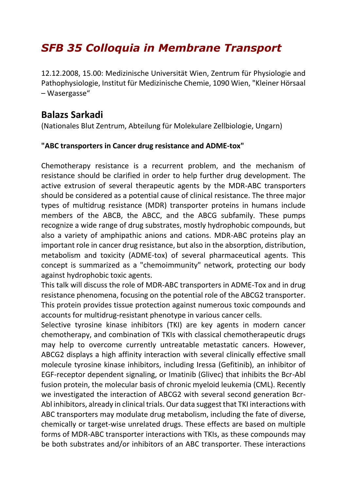## *SFB 35 Colloquia in Membrane Transport*

12.12.2008, 15.00: Medizinische Universität Wien, Zentrum für Physiologie and Pathophysiologie, Institut für Medizinische Chemie, 1090 Wien, "Kleiner Hörsaal – Wasergasse"

## **Balazs Sarkadi**

(Nationales Blut Zentrum, Abteilung für Molekulare Zellbiologie, Ungarn)

## **"ABC transporters in Cancer drug resistance and ADME-tox"**

Chemotherapy resistance is a recurrent problem, and the mechanism of resistance should be clarified in order to help further drug development. The active extrusion of several therapeutic agents by the MDR-ABC transporters should be considered as a potential cause of clinical resistance. The three major types of multidrug resistance (MDR) transporter proteins in humans include members of the ABCB, the ABCC, and the ABCG subfamily. These pumps recognize a wide range of drug substrates, mostly hydrophobic compounds, but also a variety of amphipathic anions and cations. MDR-ABC proteins play an important role in cancer drug resistance, but also in the absorption, distribution, metabolism and toxicity (ADME-tox) of several pharmaceutical agents. This concept is summarized as a "chemoimmunity" network, protecting our body against hydrophobic toxic agents.

This talk will discuss the role of MDR-ABC transporters in ADME-Tox and in drug resistance phenomena, focusing on the potential role of the ABCG2 transporter. This protein provides tissue protection against numerous toxic compounds and accounts for multidrug-resistant phenotype in various cancer cells.

Selective tyrosine kinase inhibitors (TKI) are key agents in modern cancer chemotherapy, and combination of TKIs with classical chemotherapeutic drugs may help to overcome currently untreatable metastatic cancers. However, ABCG2 displays a high affinity interaction with several clinically effective small molecule tyrosine kinase inhibitors, including Iressa (Gefitinib), an inhibitor of EGF-receptor dependent signaling, or Imatinib (Glivec) that inhibits the Bcr-Abl fusion protein, the molecular basis of chronic myeloid leukemia (CML). Recently we investigated the interaction of ABCG2 with several second generation Bcr-Abl inhibitors, already in clinical trials. Our data suggest that TKI interactions with ABC transporters may modulate drug metabolism, including the fate of diverse, chemically or target-wise unrelated drugs. These effects are based on multiple forms of MDR-ABC transporter interactions with TKIs, as these compounds may be both substrates and/or inhibitors of an ABC transporter. These interactions